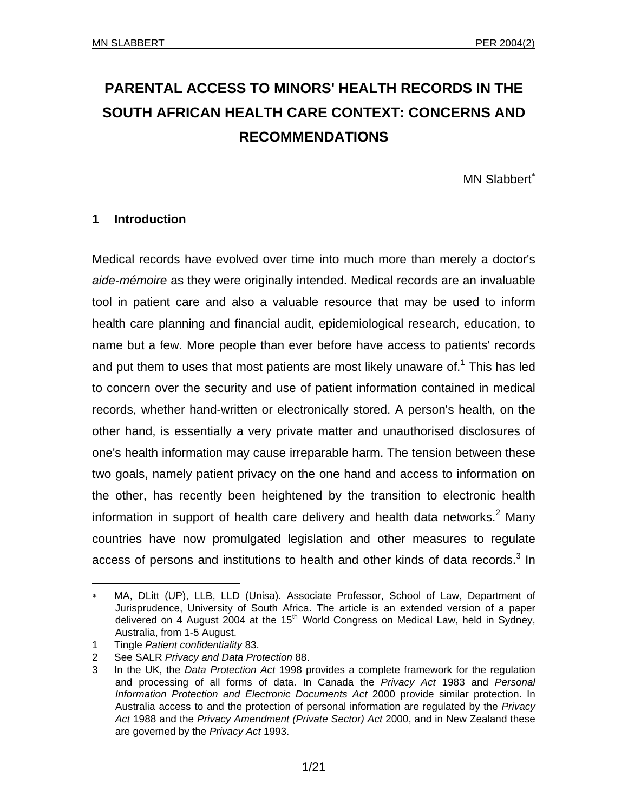# **PARENTAL ACCESS TO MINORS' HEALTH RECORDS IN THE SOUTH AFRICAN HEALTH CARE CONTEXT: CONCERNS AND RECOMMENDATIONS**

MN Slabbert<sup>∗</sup>

### **1 Introduction**

Medical records have evolved over time into much more than merely a doctor's *aide-mémoire* as they were originally intended. Medical records are an invaluable tool in patient care and also a valuable resource that may be used to inform health care planning and financial audit, epidemiological research, education, to name but a few. More people than ever before have access to patients' records and put them to uses that most patients are most likely unaware of.<sup>1</sup> This has led to concern over the security and use of patient information contained in medical records, whether hand-written or electronically stored. A person's health, on the other hand, is essentially a very private matter and unauthorised disclosures of one's health information may cause irreparable harm. The tension between these two goals, namely patient privacy on the one hand and access to information on the other, has recently been heightened by the transition to electronic health information in support of health care delivery and health data networks. $2$  Many countries have now promulgated legislation and other measures to regulate access of persons and institutions to health and other kinds of data records. $3$  In

MA, DLitt (UP), LLB, LLD (Unisa). Associate Professor, School of Law, Department of Jurisprudence, University of South Africa. The article is an extended version of a paper delivered on 4 August 2004 at the 15<sup>th</sup> World Congress on Medical Law, held in Sydney. Australia, from 1-5 August.

<sup>1</sup> Tingle *Patient confidentiality* 83.

<sup>2</sup> See SALR *Privacy and Data Protection* 88.

<sup>3</sup> In the UK, the *Data Protection Act* 1998 provides a complete framework for the regulation and processing of all forms of data. In Canada the *Privacy Act* 1983 and *Personal Information Protection and Electronic Documents Act* 2000 provide similar protection. In Australia access to and the protection of personal information are regulated by the *Privacy Act* 1988 and the *Privacy Amendment (Private Sector) Act* 2000, and in New Zealand these are governed by the *Privacy Act* 1993.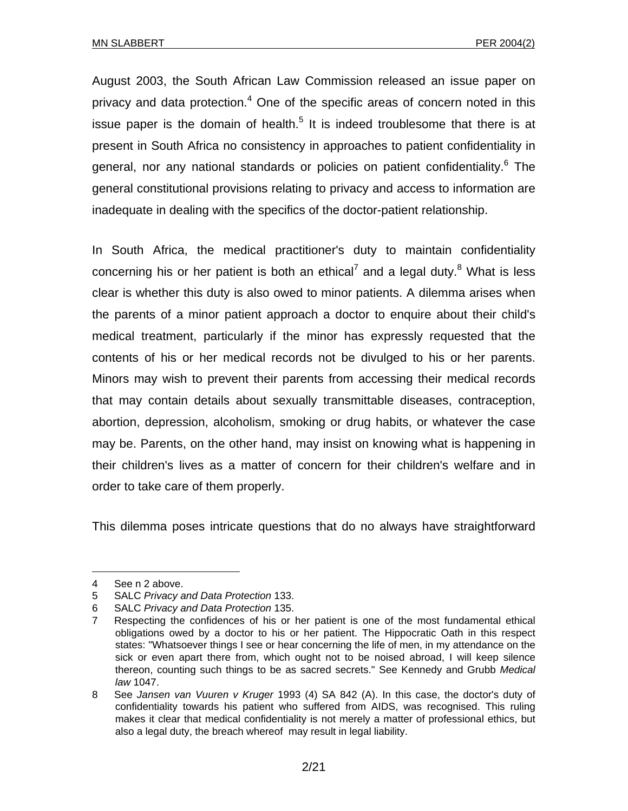August 2003, the South African Law Commission released an issue paper on privacy and data protection.<sup>4</sup> One of the specific areas of concern noted in this issue paper is the domain of health. $<sup>5</sup>$  It is indeed troublesome that there is at</sup> present in South Africa no consistency in approaches to patient confidentiality in general, nor any national standards or policies on patient confidentiality.<sup>6</sup> The general constitutional provisions relating to privacy and access to information are inadequate in dealing with the specifics of the doctor-patient relationship.

In South Africa, the medical practitioner's duty to maintain confidentiality concerning his or her patient is both an ethical<sup>7</sup> and a legal duty.<sup>8</sup> What is less clear is whether this duty is also owed to minor patients. A dilemma arises when the parents of a minor patient approach a doctor to enquire about their child's medical treatment, particularly if the minor has expressly requested that the contents of his or her medical records not be divulged to his or her parents. Minors may wish to prevent their parents from accessing their medical records that may contain details about sexually transmittable diseases, contraception, abortion, depression, alcoholism, smoking or drug habits, or whatever the case may be. Parents, on the other hand, may insist on knowing what is happening in their children's lives as a matter of concern for their children's welfare and in order to take care of them properly.

This dilemma poses intricate questions that do no always have straightforward

<sup>4</sup> See n 2 above.

<sup>5</sup> SALC *Privacy and Data Protection* 133.

<sup>6</sup> SALC *Privacy and Data Protection* 135.

<sup>7</sup> Respecting the confidences of his or her patient is one of the most fundamental ethical obligations owed by a doctor to his or her patient. The Hippocratic Oath in this respect states: "Whatsoever things I see or hear concerning the life of men, in my attendance on the sick or even apart there from, which ought not to be noised abroad, I will keep silence thereon, counting such things to be as sacred secrets." See Kennedy and Grubb *Medical law* 1047.

<sup>8</sup> See *Jansen van Vuuren v Kruger* 1993 (4) SA 842 (A). In this case, the doctor's duty of confidentiality towards his patient who suffered from AIDS, was recognised. This ruling makes it clear that medical confidentiality is not merely a matter of professional ethics, but also a legal duty, the breach whereof may result in legal liability.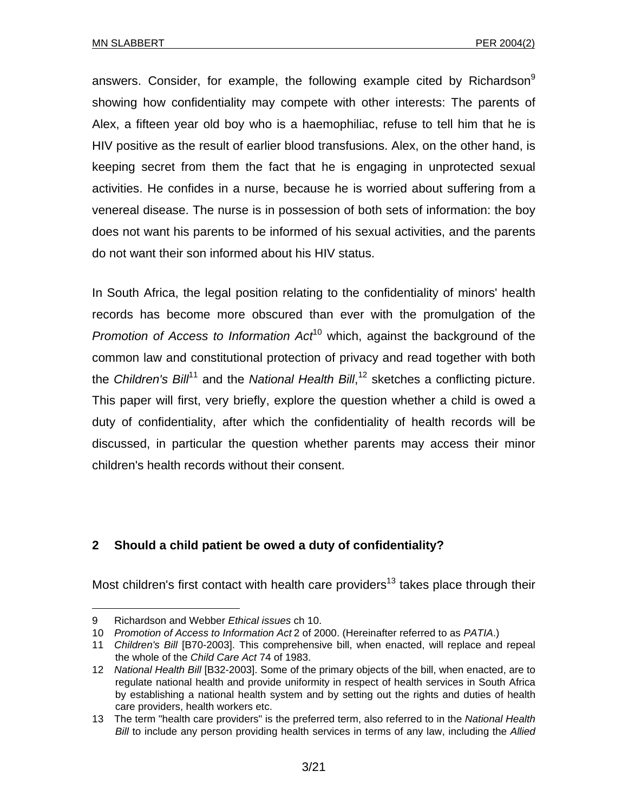answers. Consider, for example, the following example cited by Richardson $9$ showing how confidentiality may compete with other interests: The parents of Alex, a fifteen year old boy who is a haemophiliac, refuse to tell him that he is HIV positive as the result of earlier blood transfusions. Alex, on the other hand, is keeping secret from them the fact that he is engaging in unprotected sexual activities. He confides in a nurse, because he is worried about suffering from a venereal disease. The nurse is in possession of both sets of information: the boy does not want his parents to be informed of his sexual activities, and the parents do not want their son informed about his HIV status.

In South Africa, the legal position relating to the confidentiality of minors' health records has become more obscured than ever with the promulgation of the *Promotion of Access to Information Act<sup>10</sup> which, against the background of the* common law and constitutional protection of privacy and read together with both the *Children's Bill*<sup>11</sup> and the *National Health Bill*,<sup>12</sup> sketches a conflicting picture. This paper will first, very briefly, explore the question whether a child is owed a duty of confidentiality, after which the confidentiality of health records will be discussed, in particular the question whether parents may access their minor children's health records without their consent.

# **2 Should a child patient be owed a duty of confidentiality?**

Most children's first contact with health care providers<sup>13</sup> takes place through their

<sup>9</sup> Richardson and Webber *Ethical issues* ch 10.

<sup>10</sup> *Promotion of Access to Information Act* 2 of 2000. (Hereinafter referred to as *PATIA*.)

<sup>11</sup> *Children's Bill* [B70-2003]. This comprehensive bill, when enacted, will replace and repeal the whole of the *Child Care Act* 74 of 1983.

<sup>12</sup> *National Health Bill* [B32-2003]. Some of the primary objects of the bill, when enacted, are to regulate national health and provide uniformity in respect of health services in South Africa by establishing a national health system and by setting out the rights and duties of health care providers, health workers etc.

<sup>13</sup> The term "health care providers" is the preferred term, also referred to in the *National Health Bill* to include any person providing health services in terms of any law, including the *Allied*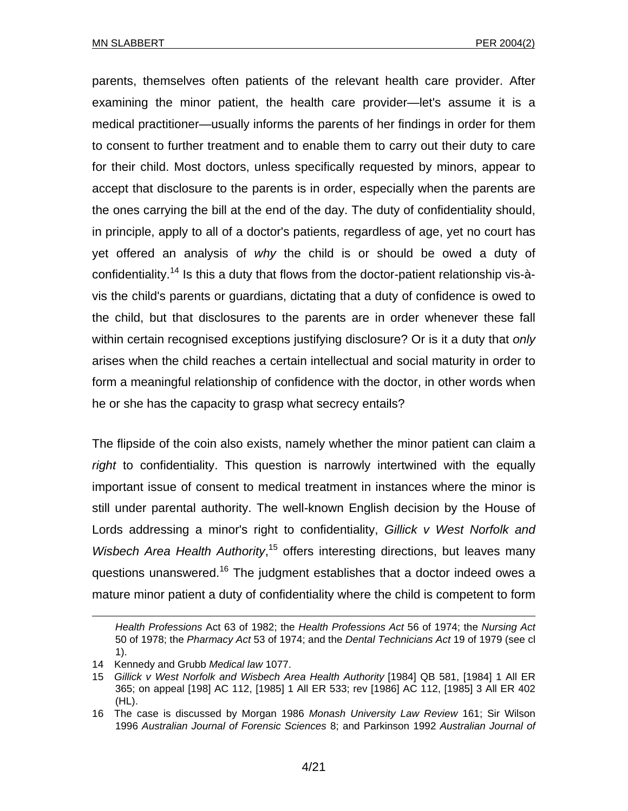parents, themselves often patients of the relevant health care provider. After examining the minor patient, the health care provider—let's assume it is a medical practitioner—usually informs the parents of her findings in order for them to consent to further treatment and to enable them to carry out their duty to care for their child. Most doctors, unless specifically requested by minors, appear to accept that disclosure to the parents is in order, especially when the parents are the ones carrying the bill at the end of the day. The duty of confidentiality should, in principle, apply to all of a doctor's patients, regardless of age, yet no court has yet offered an analysis of *why* the child is or should be owed a duty of confidentiality.<sup>14</sup> Is this a duty that flows from the doctor-patient relationship vis-àvis the child's parents or guardians, dictating that a duty of confidence is owed to the child, but that disclosures to the parents are in order whenever these fall within certain recognised exceptions justifying disclosure? Or is it a duty that *only* arises when the child reaches a certain intellectual and social maturity in order to form a meaningful relationship of confidence with the doctor, in other words when he or she has the capacity to grasp what secrecy entails?

The flipside of the coin also exists, namely whether the minor patient can claim a *right* to confidentiality. This question is narrowly intertwined with the equally important issue of consent to medical treatment in instances where the minor is still under parental authority. The well-known English decision by the House of Lords addressing a minor's right to confidentiality, *Gillick v West Norfolk and*  Wisbech Area Health Authority,<sup>15</sup> offers interesting directions, but leaves many questions unanswered.<sup>16</sup> The judgment establishes that a doctor indeed owes a mature minor patient a duty of confidentiality where the child is competent to form

1

*Health Professions* Act 63 of 1982; the *Health Professions Act* 56 of 1974; the *Nursing Act*  50 of 1978; the *Pharmacy Act* 53 of 1974; and the *Dental Technicians Act* 19 of 1979 (see cl 1).

<sup>14</sup> Kennedy and Grubb *Medical law* 1077.

<sup>15</sup> *Gillick v West Norfolk and Wisbech Area Health Authority* [1984] QB 581, [1984] 1 All ER 365; on appeal [198] AC 112, [1985] 1 All ER 533; rev [1986] AC 112, [1985] 3 All ER 402 (HL).

<sup>16</sup> The case is discussed by Morgan 1986 *Monash University Law Review* 161; Sir Wilson 1996 *Australian Journal of Forensic Sciences* 8; and Parkinson 1992 *Australian Journal of*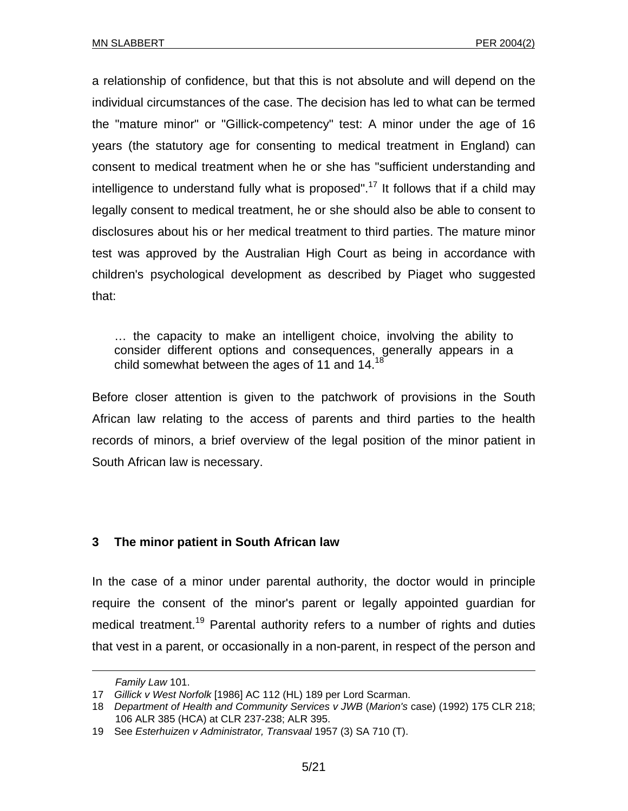a relationship of confidence, but that this is not absolute and will depend on the individual circumstances of the case. The decision has led to what can be termed the "mature minor" or "Gillick-competency" test: A minor under the age of 16 years (the statutory age for consenting to medical treatment in England) can consent to medical treatment when he or she has "sufficient understanding and intelligence to understand fully what is proposed".<sup>17</sup> It follows that if a child may legally consent to medical treatment, he or she should also be able to consent to disclosures about his or her medical treatment to third parties. The mature minor test was approved by the Australian High Court as being in accordance with children's psychological development as described by Piaget who suggested that:

… the capacity to make an intelligent choice, involving the ability to consider different options and consequences, generally appears in a child somewhat between the ages of 11 and 14.<sup>18</sup>

Before closer attention is given to the patchwork of provisions in the South African law relating to the access of parents and third parties to the health records of minors, a brief overview of the legal position of the minor patient in South African law is necessary.

# **3 The minor patient in South African law**

In the case of a minor under parental authority, the doctor would in principle require the consent of the minor's parent or legally appointed guardian for medical treatment.<sup>19</sup> Parental authority refers to a number of rights and duties that vest in a parent, or occasionally in a non-parent, in respect of the person and

-

*Family Law* 101.

<sup>17</sup> *Gillick v West Norfolk* [1986] AC 112 (HL) 189 per Lord Scarman.

<sup>18</sup> *Department of Health and Community Services v JWB* (*Marion's* case) (1992) 175 CLR 218; 106 ALR 385 (HCA) at CLR 237-238; ALR 395.

<sup>19</sup> See *Esterhuizen v Administrator, Transvaal* 1957 (3) SA 710 (T).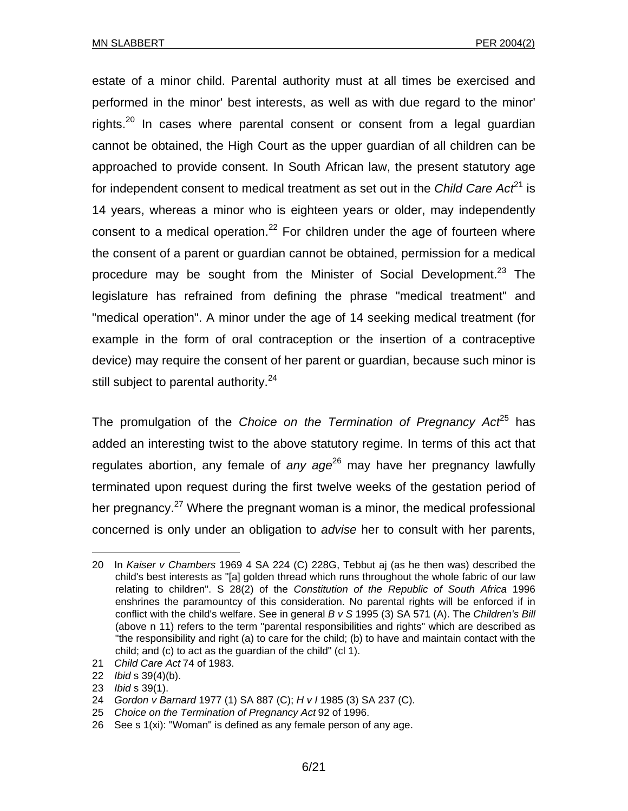estate of a minor child. Parental authority must at all times be exercised and performed in the minor' best interests, as well as with due regard to the minor' rights.<sup>20</sup> In cases where parental consent or consent from a legal guardian cannot be obtained, the High Court as the upper guardian of all children can be approached to provide consent. In South African law, the present statutory age for independent consent to medical treatment as set out in the *Child Care Act*<sup>21</sup> is 14 years, whereas a minor who is eighteen years or older, may independently consent to a medical operation.<sup>22</sup> For children under the age of fourteen where the consent of a parent or guardian cannot be obtained, permission for a medical procedure may be sought from the Minister of Social Development.<sup>23</sup> The legislature has refrained from defining the phrase "medical treatment" and "medical operation". A minor under the age of 14 seeking medical treatment (for example in the form of oral contraception or the insertion of a contraceptive device) may require the consent of her parent or guardian, because such minor is still subject to parental authority.<sup>24</sup>

The promulgation of the *Choice on the Termination of Pregnancy Act*<sup>25</sup> has added an interesting twist to the above statutory regime. In terms of this act that regulates abortion, any female of *any age*<sup>26</sup> may have her pregnancy lawfully terminated upon request during the first twelve weeks of the gestation period of her pregnancy.<sup>27</sup> Where the pregnant woman is a minor, the medical professional concerned is only under an obligation to *advise* her to consult with her parents,

22 *Ibid* s 39(4)(b).

 $\overline{a}$ 

23 *Ibid* s 39(1).

25 *Choice on the Termination of Pregnancy Act* 92 of 1996.

<sup>20</sup> In *Kaiser v Chambers* 1969 4 SA 224 (C) 228G, Tebbut aj (as he then was) described the child's best interests as "[a] golden thread which runs throughout the whole fabric of our law relating to children". S 28(2) of the *Constitution of the Republic of South Africa* 1996 enshrines the paramountcy of this consideration. No parental rights will be enforced if in conflict with the child's welfare. See in general *B v S* 1995 (3) SA 571 (A). The *Children's Bill* (above n 11) refers to the term "parental responsibilities and rights" which are described as "the responsibility and right (a) to care for the child; (b) to have and maintain contact with the child; and (c) to act as the guardian of the child" (cl 1).

<sup>21</sup> *Child Care Act* 74 of 1983.

<sup>24</sup> *Gordon v Barnard* 1977 (1) SA 887 (C); *H v I* 1985 (3) SA 237 (C).

<sup>26</sup> See s 1(xi): "Woman" is defined as any female person of any age.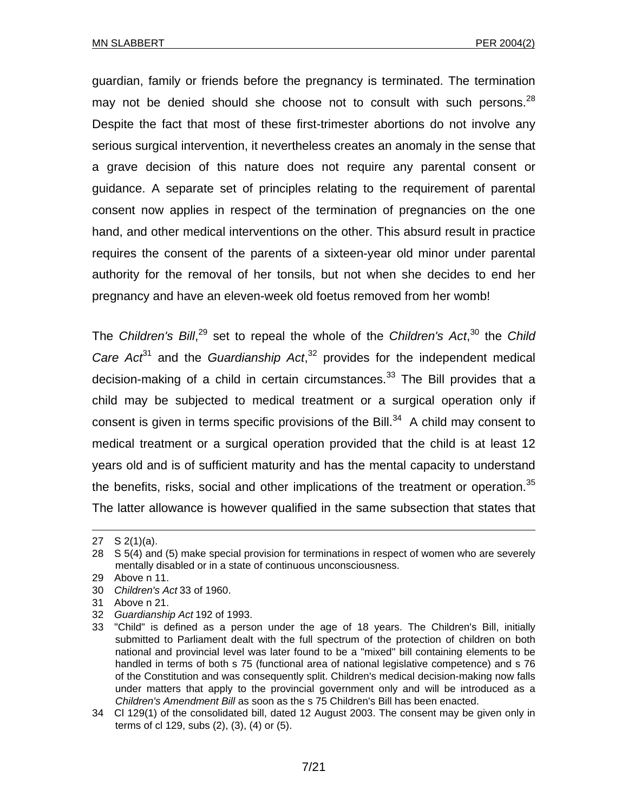guardian, family or friends before the pregnancy is terminated. The termination may not be denied should she choose not to consult with such persons.<sup>28</sup> Despite the fact that most of these first-trimester abortions do not involve any serious surgical intervention, it nevertheless creates an anomaly in the sense that a grave decision of this nature does not require any parental consent or guidance. A separate set of principles relating to the requirement of parental consent now applies in respect of the termination of pregnancies on the one hand, and other medical interventions on the other. This absurd result in practice requires the consent of the parents of a sixteen-year old minor under parental authority for the removal of her tonsils, but not when she decides to end her pregnancy and have an eleven-week old foetus removed from her womb!

The *Children's Bill*, 29 set to repeal the whole of the *Children's Act*, 30 the *Child*  Care Act<sup>31</sup> and the *Guardianship Act*<sup>32</sup> provides for the independent medical decision-making of a child in certain circumstances. $33$  The Bill provides that a child may be subjected to medical treatment or a surgical operation only if consent is given in terms specific provisions of the Bill.<sup>34</sup> A child may consent to medical treatment or a surgical operation provided that the child is at least 12 years old and is of sufficient maturity and has the mental capacity to understand the benefits, risks, social and other implications of the treatment or operation.<sup>35</sup> The latter allowance is however qualified in the same subsection that states that

-

<sup>27</sup> S 2(1)(a).

<sup>28</sup> S 5(4) and (5) make special provision for terminations in respect of women who are severely mentally disabled or in a state of continuous unconsciousness.

<sup>29</sup> Above n 11.

<sup>30</sup> *Children's Act* 33 of 1960.

<sup>31</sup> Above n 21.

<sup>32</sup> *Guardianship Act* 192 of 1993.

<sup>33 &</sup>quot;Child" is defined as a person under the age of 18 years. The Children's Bill, initially submitted to Parliament dealt with the full spectrum of the protection of children on both national and provincial level was later found to be a "mixed" bill containing elements to be handled in terms of both s 75 (functional area of national legislative competence) and s 76 of the Constitution and was consequently split. Children's medical decision-making now falls under matters that apply to the provincial government only and will be introduced as a *Children's Amendment Bill* as soon as the s 75 Children's Bill has been enacted.

<sup>34</sup> Cl 129(1) of the consolidated bill, dated 12 August 2003. The consent may be given only in terms of cl 129, subs (2), (3), (4) or (5).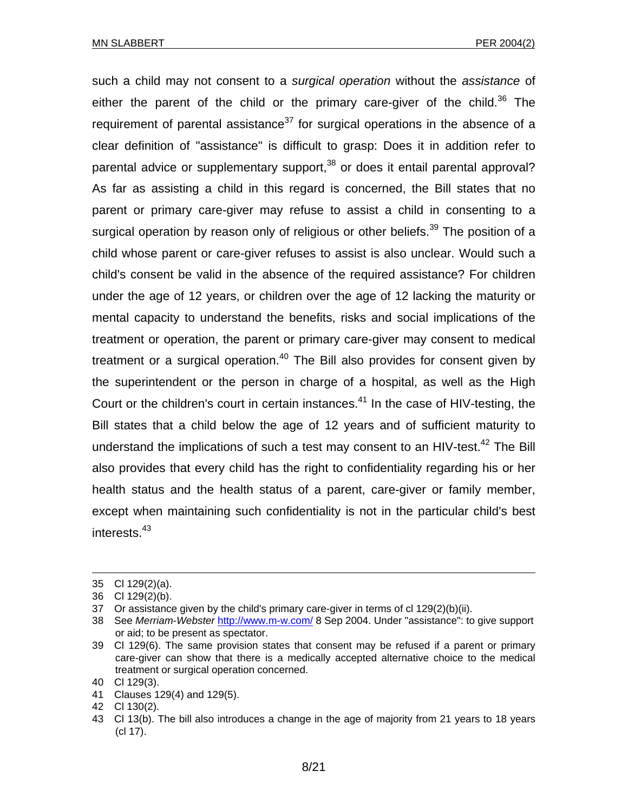such a child may not consent to a *surgical operation* without the *assistance* of either the parent of the child or the primary care-giver of the child.<sup>36</sup> The requirement of parental assistance<sup>37</sup> for surgical operations in the absence of a clear definition of "assistance" is difficult to grasp: Does it in addition refer to parental advice or supplementary support, $38$  or does it entail parental approval? As far as assisting a child in this regard is concerned, the Bill states that no parent or primary care-giver may refuse to assist a child in consenting to a surgical operation by reason only of religious or other beliefs.<sup>39</sup> The position of a child whose parent or care-giver refuses to assist is also unclear. Would such a child's consent be valid in the absence of the required assistance? For children under the age of 12 years, or children over the age of 12 lacking the maturity or mental capacity to understand the benefits, risks and social implications of the treatment or operation, the parent or primary care-giver may consent to medical treatment or a surgical operation.<sup>40</sup> The Bill also provides for consent given by the superintendent or the person in charge of a hospital, as well as the High Court or the children's court in certain instances. $41$  In the case of HIV-testing, the Bill states that a child below the age of 12 years and of sufficient maturity to understand the implications of such a test may consent to an HIV-test.<sup>42</sup> The Bill also provides that every child has the right to confidentiality regarding his or her health status and the health status of a parent, care-giver or family member, except when maintaining such confidentiality is not in the particular child's best interests.<sup>43</sup>

<sup>35</sup> Cl 129(2)(a).

<sup>36</sup> Cl 129(2)(b).

<sup>37</sup> Or assistance given by the child's primary care-giver in terms of cl 129(2)(b)(ii).

<sup>38</sup> See *Merriam-Webster* http://www.m-w.com/ 8 Sep 2004. Under "assistance": to give support or aid; to be present as spectator.

<sup>39</sup> Cl 129(6). The same provision states that consent may be refused if a parent or primary care-giver can show that there is a medically accepted alternative choice to the medical treatment or surgical operation concerned.

<sup>40</sup> Cl 129(3).

<sup>41</sup> Clauses 129(4) and 129(5).

<sup>42</sup> Cl 130(2).

<sup>43</sup> Cl 13(b). The bill also introduces a change in the age of majority from 21 years to 18 years (cl 17).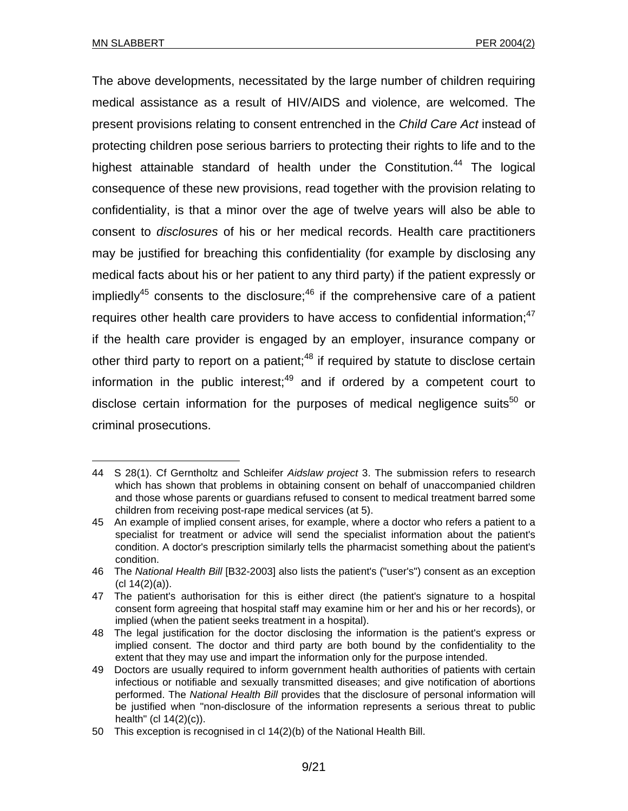$\overline{a}$ 

The above developments, necessitated by the large number of children requiring medical assistance as a result of HIV/AIDS and violence, are welcomed. The present provisions relating to consent entrenched in the *Child Care Act* instead of protecting children pose serious barriers to protecting their rights to life and to the highest attainable standard of health under the Constitution.<sup>44</sup> The logical consequence of these new provisions, read together with the provision relating to confidentiality, is that a minor over the age of twelve years will also be able to consent to *disclosures* of his or her medical records. Health care practitioners may be justified for breaching this confidentiality (for example by disclosing any medical facts about his or her patient to any third party) if the patient expressly or impliedly<sup>45</sup> consents to the disclosure;<sup>46</sup> if the comprehensive care of a patient requires other health care providers to have access to confidential information;<sup>47</sup> if the health care provider is engaged by an employer, insurance company or other third party to report on a patient;  $48$  if required by statute to disclose certain information in the public interest; $49$  and if ordered by a competent court to disclose certain information for the purposes of medical negligence suits $50$  or criminal prosecutions.

<sup>44</sup> S 28(1). Cf Gerntholtz and Schleifer *Aidslaw project* 3. The submission refers to research which has shown that problems in obtaining consent on behalf of unaccompanied children and those whose parents or guardians refused to consent to medical treatment barred some children from receiving post-rape medical services (at 5).

<sup>45</sup> An example of implied consent arises, for example, where a doctor who refers a patient to a specialist for treatment or advice will send the specialist information about the patient's condition. A doctor's prescription similarly tells the pharmacist something about the patient's condition.

<sup>46</sup> The *National Health Bill* [B32-2003] also lists the patient's ("user's") consent as an exception (cl 14(2)(a)).

<sup>47</sup> The patient's authorisation for this is either direct (the patient's signature to a hospital consent form agreeing that hospital staff may examine him or her and his or her records), or implied (when the patient seeks treatment in a hospital).

<sup>48</sup> The legal justification for the doctor disclosing the information is the patient's express or implied consent. The doctor and third party are both bound by the confidentiality to the extent that they may use and impart the information only for the purpose intended.

<sup>49</sup> Doctors are usually required to inform government health authorities of patients with certain infectious or notifiable and sexually transmitted diseases; and give notification of abortions performed. The *National Health Bill* provides that the disclosure of personal information will be justified when "non-disclosure of the information represents a serious threat to public health" (cl 14(2)(c)).

<sup>50</sup> This exception is recognised in cl 14(2)(b) of the National Health Bill.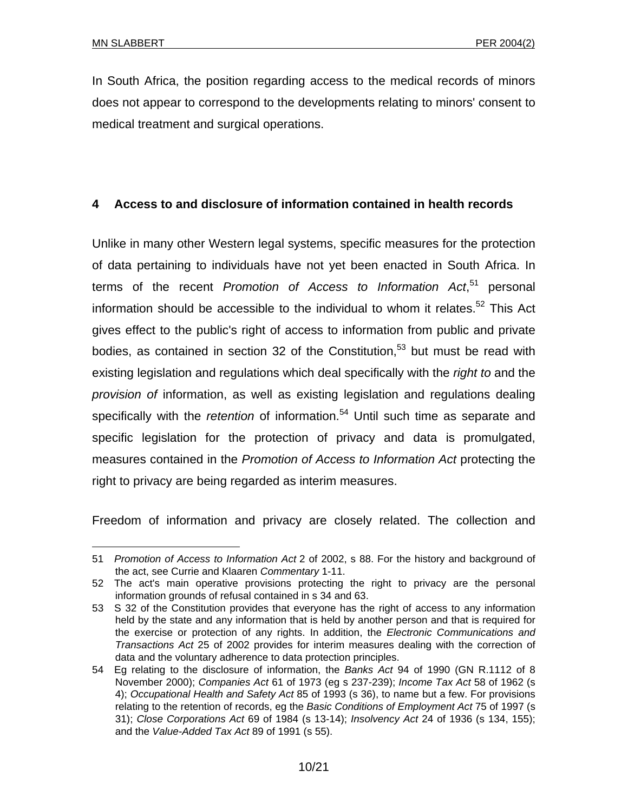In South Africa, the position regarding access to the medical records of minors does not appear to correspond to the developments relating to minors' consent to medical treatment and surgical operations.

# **4 Access to and disclosure of information contained in health records**

Unlike in many other Western legal systems, specific measures for the protection of data pertaining to individuals have not yet been enacted in South Africa. In terms of the recent *Promotion of Access to Information Act*, 51 personal information should be accessible to the individual to whom it relates.<sup>52</sup> This Act gives effect to the public's right of access to information from public and private bodies, as contained in section 32 of the Constitution, $53$  but must be read with existing legislation and regulations which deal specifically with the *right to* and the *provision of* information, as well as existing legislation and regulations dealing specifically with the *retention* of information.<sup>54</sup> Until such time as separate and specific legislation for the protection of privacy and data is promulgated, measures contained in the *Promotion of Access to Information Act* protecting the right to privacy are being regarded as interim measures.

Freedom of information and privacy are closely related. The collection and

 $\overline{a}$ 51 *Promotion of Access to Information Act* 2 of 2002, s 88. For the history and background of the act, see Currie and Klaaren *Commentary* 1-11.

<sup>52</sup> The act's main operative provisions protecting the right to privacy are the personal information grounds of refusal contained in s 34 and 63.

<sup>53</sup> S 32 of the Constitution provides that everyone has the right of access to any information held by the state and any information that is held by another person and that is required for the exercise or protection of any rights. In addition, the *Electronic Communications and Transactions Act* 25 of 2002 provides for interim measures dealing with the correction of data and the voluntary adherence to data protection principles.

<sup>54</sup> Eg relating to the disclosure of information, the *Banks Act* 94 of 1990 (GN R.1112 of 8 November 2000); *Companies Act* 61 of 1973 (eg s 237-239); *Income Tax Act* 58 of 1962 (s 4); *Occupational Health and Safety Act* 85 of 1993 (s 36), to name but a few. For provisions relating to the retention of records, eg the *Basic Conditions of Employment Act* 75 of 1997 (s 31); *Close Corporations Act* 69 of 1984 (s 13-14); *Insolvency Act* 24 of 1936 (s 134, 155); and the *Value-Added Tax Act* 89 of 1991 (s 55).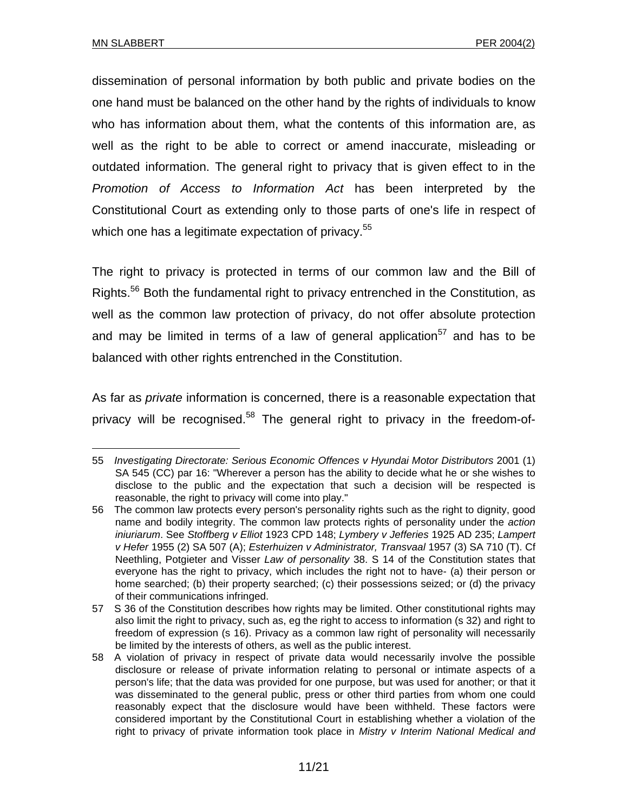$\overline{a}$ 

dissemination of personal information by both public and private bodies on the one hand must be balanced on the other hand by the rights of individuals to know who has information about them, what the contents of this information are, as well as the right to be able to correct or amend inaccurate, misleading or outdated information. The general right to privacy that is given effect to in the *Promotion of Access to Information Act* has been interpreted by the Constitutional Court as extending only to those parts of one's life in respect of which one has a legitimate expectation of privacy.<sup>55</sup>

The right to privacy is protected in terms of our common law and the Bill of Rights.<sup>56</sup> Both the fundamental right to privacy entrenched in the Constitution, as well as the common law protection of privacy, do not offer absolute protection and may be limited in terms of a law of general application<sup>57</sup> and has to be balanced with other rights entrenched in the Constitution.

As far as *private* information is concerned, there is a reasonable expectation that privacy will be recognised.<sup>58</sup> The general right to privacy in the freedom-of-

<sup>55</sup> *Investigating Directorate: Serious Economic Offences v Hyundai Motor Distributors* 2001 (1) SA 545 (CC) par 16: "Wherever a person has the ability to decide what he or she wishes to disclose to the public and the expectation that such a decision will be respected is reasonable, the right to privacy will come into play."

<sup>56</sup> The common law protects every person's personality rights such as the right to dignity, good name and bodily integrity. The common law protects rights of personality under the *action iniuriarum*. See *Stoffberg v Elliot* 1923 CPD 148; *Lymbery v Jefferies* 1925 AD 235; *Lampert v Hefer* 1955 (2) SA 507 (A); *Esterhuizen v Administrator, Transvaal* 1957 (3) SA 710 (T). Cf Neethling, Potgieter and Visser *Law of personality* 38. S 14 of the Constitution states that everyone has the right to privacy, which includes the right not to have- (a) their person or home searched; (b) their property searched; (c) their possessions seized; or (d) the privacy of their communications infringed.

<sup>57</sup> S 36 of the Constitution describes how rights may be limited. Other constitutional rights may also limit the right to privacy, such as, eg the right to access to information (s 32) and right to freedom of expression (s 16). Privacy as a common law right of personality will necessarily be limited by the interests of others, as well as the public interest.

<sup>58</sup> A violation of privacy in respect of private data would necessarily involve the possible disclosure or release of private information relating to personal or intimate aspects of a person's life; that the data was provided for one purpose, but was used for another; or that it was disseminated to the general public, press or other third parties from whom one could reasonably expect that the disclosure would have been withheld. These factors were considered important by the Constitutional Court in establishing whether a violation of the right to privacy of private information took place in *Mistry v Interim National Medical and*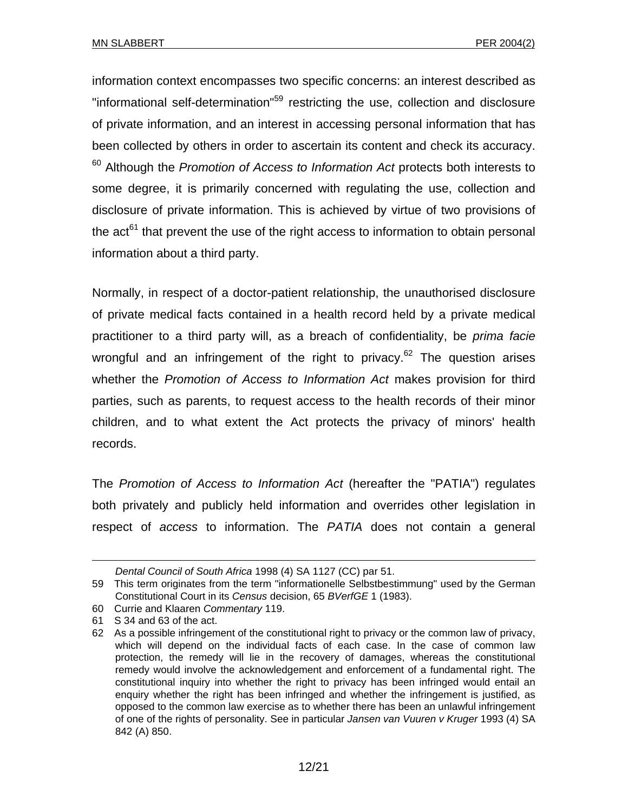information context encompasses two specific concerns: an interest described as "informational self-determination"<sup>59</sup> restricting the use, collection and disclosure of private information, and an interest in accessing personal information that has been collected by others in order to ascertain its content and check its accuracy. 60 Although the *Promotion of Access to Information Act* protects both interests to some degree, it is primarily concerned with regulating the use, collection and disclosure of private information. This is achieved by virtue of two provisions of the  $act<sup>61</sup>$  that prevent the use of the right access to information to obtain personal information about a third party.

Normally, in respect of a doctor-patient relationship, the unauthorised disclosure of private medical facts contained in a health record held by a private medical practitioner to a third party will, as a breach of confidentiality, be *prima facie* wrongful and an infringement of the right to privacy.<sup>62</sup> The question arises whether the *Promotion of Access to Information Act* makes provision for third parties, such as parents, to request access to the health records of their minor children, and to what extent the Act protects the privacy of minors' health records.

The *Promotion of Access to Information Act* (hereafter the "PATIA") regulates both privately and publicly held information and overrides other legislation in respect of *access* to information. The *PATIA* does not contain a general

-

*Dental Council of South Africa* 1998 (4) SA 1127 (CC) par 51.

<sup>59</sup> This term originates from the term "informationelle Selbstbestimmung" used by the German Constitutional Court in its *Census* decision, 65 *BVerfGE* 1 (1983).

<sup>60</sup> Currie and Klaaren *Commentary* 119.

<sup>61</sup> S 34 and 63 of the act.

<sup>62</sup> As a possible infringement of the constitutional right to privacy or the common law of privacy, which will depend on the individual facts of each case. In the case of common law protection, the remedy will lie in the recovery of damages, whereas the constitutional remedy would involve the acknowledgement and enforcement of a fundamental right. The constitutional inquiry into whether the right to privacy has been infringed would entail an enquiry whether the right has been infringed and whether the infringement is justified, as opposed to the common law exercise as to whether there has been an unlawful infringement of one of the rights of personality. See in particular *Jansen van Vuuren v Kruger* 1993 (4) SA 842 (A) 850.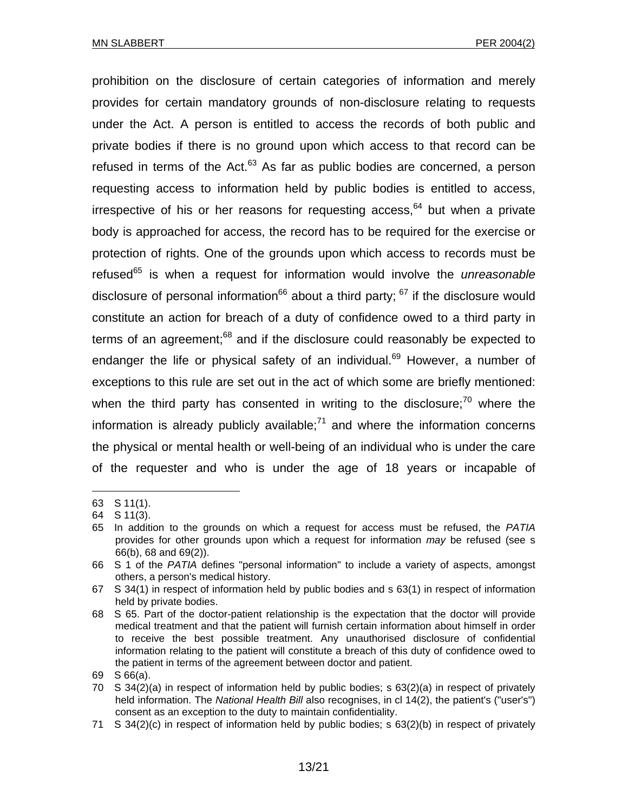prohibition on the disclosure of certain categories of information and merely provides for certain mandatory grounds of non-disclosure relating to requests under the Act. A person is entitled to access the records of both public and private bodies if there is no ground upon which access to that record can be refused in terms of the Act. $63$  As far as public bodies are concerned, a person requesting access to information held by public bodies is entitled to access, irrespective of his or her reasons for requesting access,  $64$  but when a private body is approached for access, the record has to be required for the exercise or protection of rights. One of the grounds upon which access to records must be refused<sup>65</sup> is when a request for information would involve the *unreasonable* disclosure of personal information<sup>66</sup> about a third party;  $67$  if the disclosure would constitute an action for breach of a duty of confidence owed to a third party in terms of an agreement;<sup>68</sup> and if the disclosure could reasonably be expected to endanger the life or physical safety of an individual.<sup>69</sup> However, a number of exceptions to this rule are set out in the act of which some are briefly mentioned: when the third party has consented in writing to the disclosure;<sup>70</sup> where the information is already publicly available; $^{71}$  and where the information concerns the physical or mental health or well-being of an individual who is under the care of the requester and who is under the age of 18 years or incapable of

63 S 11(1).

<sup>64</sup> S 11(3).

<sup>65</sup> In addition to the grounds on which a request for access must be refused, the *PATIA* provides for other grounds upon which a request for information *may* be refused (see s 66(b), 68 and 69(2)).

<sup>66</sup> S 1 of the *PATIA* defines "personal information" to include a variety of aspects, amongst others, a person's medical history.

<sup>67</sup> S 34(1) in respect of information held by public bodies and s 63(1) in respect of information held by private bodies.

<sup>68</sup> S 65. Part of the doctor-patient relationship is the expectation that the doctor will provide medical treatment and that the patient will furnish certain information about himself in order to receive the best possible treatment. Any unauthorised disclosure of confidential information relating to the patient will constitute a breach of this duty of confidence owed to the patient in terms of the agreement between doctor and patient.

<sup>69</sup> S 66(a).

<sup>70</sup> S 34(2)(a) in respect of information held by public bodies; s 63(2)(a) in respect of privately held information. The *National Health Bill* also recognises, in cl 14(2), the patient's ("user's") consent as an exception to the duty to maintain confidentiality.

<sup>71</sup> S 34(2)(c) in respect of information held by public bodies; s 63(2)(b) in respect of privately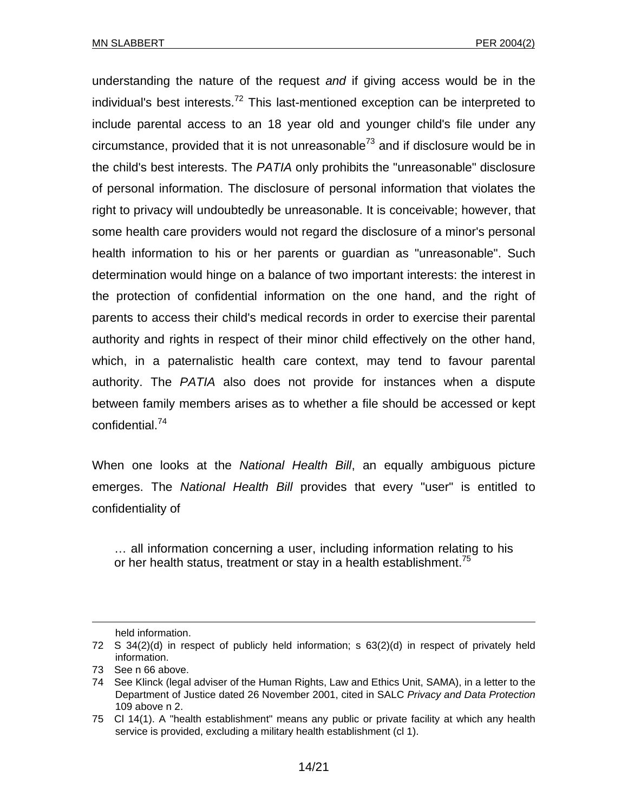understanding the nature of the request *and* if giving access would be in the individual's best interests.<sup>72</sup> This last-mentioned exception can be interpreted to include parental access to an 18 year old and younger child's file under any circumstance, provided that it is not unreasonable<sup>73</sup> and if disclosure would be in the child's best interests. The *PATIA* only prohibits the "unreasonable" disclosure of personal information. The disclosure of personal information that violates the right to privacy will undoubtedly be unreasonable. It is conceivable; however, that some health care providers would not regard the disclosure of a minor's personal health information to his or her parents or guardian as "unreasonable". Such determination would hinge on a balance of two important interests: the interest in the protection of confidential information on the one hand, and the right of parents to access their child's medical records in order to exercise their parental authority and rights in respect of their minor child effectively on the other hand, which, in a paternalistic health care context, may tend to favour parental authority. The *PATIA* also does not provide for instances when a dispute between family members arises as to whether a file should be accessed or kept confidential.74

When one looks at the *National Health Bill*, an equally ambiguous picture emerges. The *National Health Bill* provides that every "user" is entitled to confidentiality of

… all information concerning a user, including information relating to his or her health status, treatment or stay in a health establishment.<sup>75</sup>

held information.

<sup>72</sup> S 34(2)(d) in respect of publicly held information; s 63(2)(d) in respect of privately held information.

<sup>73</sup> See n 66 above.

<sup>74</sup> See Klinck (legal adviser of the Human Rights, Law and Ethics Unit, SAMA), in a letter to the Department of Justice dated 26 November 2001, cited in SALC *Privacy and Data Protection*  109 above n 2.

<sup>75</sup> Cl 14(1). A "health establishment" means any public or private facility at which any health service is provided, excluding a military health establishment (cl 1).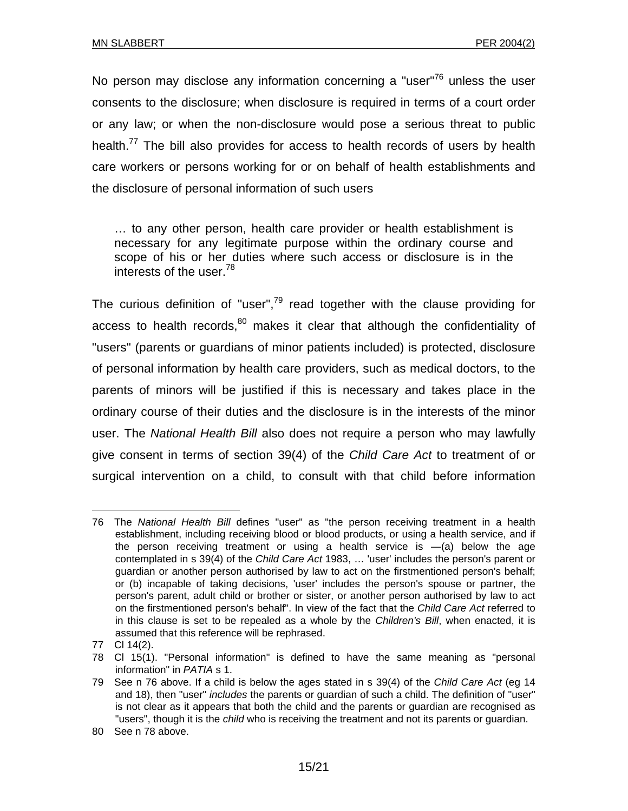No person may disclose any information concerning a "user"<sup>76</sup> unless the user consents to the disclosure; when disclosure is required in terms of a court order or any law; or when the non-disclosure would pose a serious threat to public health.<sup>77</sup> The bill also provides for access to health records of users by health care workers or persons working for or on behalf of health establishments and the disclosure of personal information of such users

… to any other person, health care provider or health establishment is necessary for any legitimate purpose within the ordinary course and scope of his or her duties where such access or disclosure is in the interests of the user.<sup>78</sup>

The curious definition of "user", $79$  read together with the clause providing for access to health records, $80$  makes it clear that although the confidentiality of "users" (parents or guardians of minor patients included) is protected, disclosure of personal information by health care providers, such as medical doctors, to the parents of minors will be justified if this is necessary and takes place in the ordinary course of their duties and the disclosure is in the interests of the minor user. The *National Health Bill* also does not require a person who may lawfully give consent in terms of section 39(4) of the *Child Care Act* to treatment of or surgical intervention on a child, to consult with that child before information

<sup>76</sup> The *National Health Bill* defines "user" as "the person receiving treatment in a health establishment, including receiving blood or blood products, or using a health service, and if the person receiving treatment or using a health service is —(a) below the age contemplated in s 39(4) of the *Child Care Act* 1983, … 'user' includes the person's parent or guardian or another person authorised by law to act on the firstmentioned person's behalf; or (b) incapable of taking decisions, 'user' includes the person's spouse or partner, the person's parent, adult child or brother or sister, or another person authorised by law to act on the firstmentioned person's behalf". In view of the fact that the *Child Care Act* referred to in this clause is set to be repealed as a whole by the *Children's Bill*, when enacted, it is assumed that this reference will be rephrased.

<sup>77</sup> Cl 14(2).

<sup>78</sup> Cl 15(1). "Personal information" is defined to have the same meaning as "personal information" in *PATIA* s 1.

<sup>79</sup> See n 76 above. If a child is below the ages stated in s 39(4) of the *Child Care Act* (eg 14 and 18), then "user" *includes* the parents or guardian of such a child. The definition of "user" is not clear as it appears that both the child and the parents or guardian are recognised as "users", though it is the *child* who is receiving the treatment and not its parents or guardian.

<sup>80</sup> See n 78 above.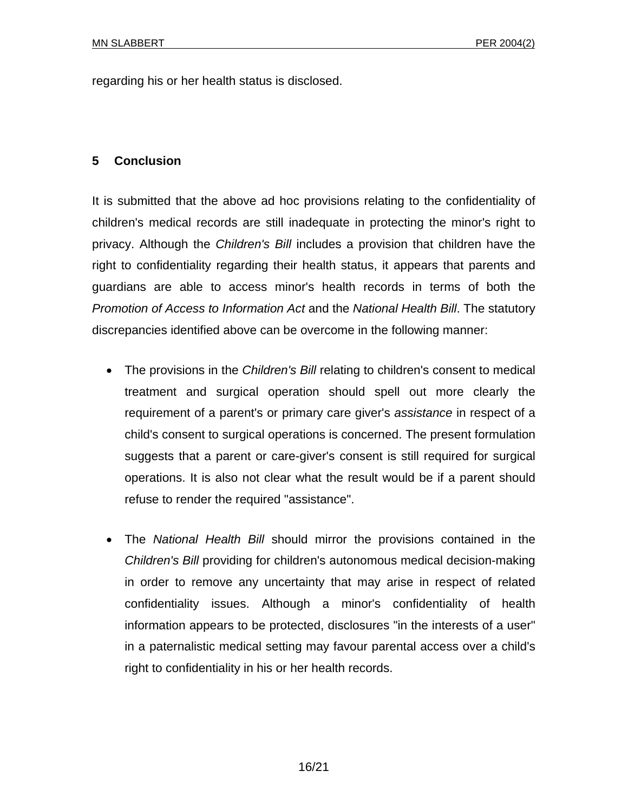regarding his or her health status is disclosed.

#### **5 Conclusion**

It is submitted that the above ad hoc provisions relating to the confidentiality of children's medical records are still inadequate in protecting the minor's right to privacy. Although the *Children's Bill* includes a provision that children have the right to confidentiality regarding their health status, it appears that parents and guardians are able to access minor's health records in terms of both the *Promotion of Access to Information Act* and the *National Health Bill*. The statutory discrepancies identified above can be overcome in the following manner:

- The provisions in the *Children's Bill* relating to children's consent to medical treatment and surgical operation should spell out more clearly the requirement of a parent's or primary care giver's *assistance* in respect of a child's consent to surgical operations is concerned. The present formulation suggests that a parent or care-giver's consent is still required for surgical operations. It is also not clear what the result would be if a parent should refuse to render the required "assistance".
- The *National Health Bill* should mirror the provisions contained in the *Children's Bill* providing for children's autonomous medical decision-making in order to remove any uncertainty that may arise in respect of related confidentiality issues. Although a minor's confidentiality of health information appears to be protected, disclosures "in the interests of a user" in a paternalistic medical setting may favour parental access over a child's right to confidentiality in his or her health records.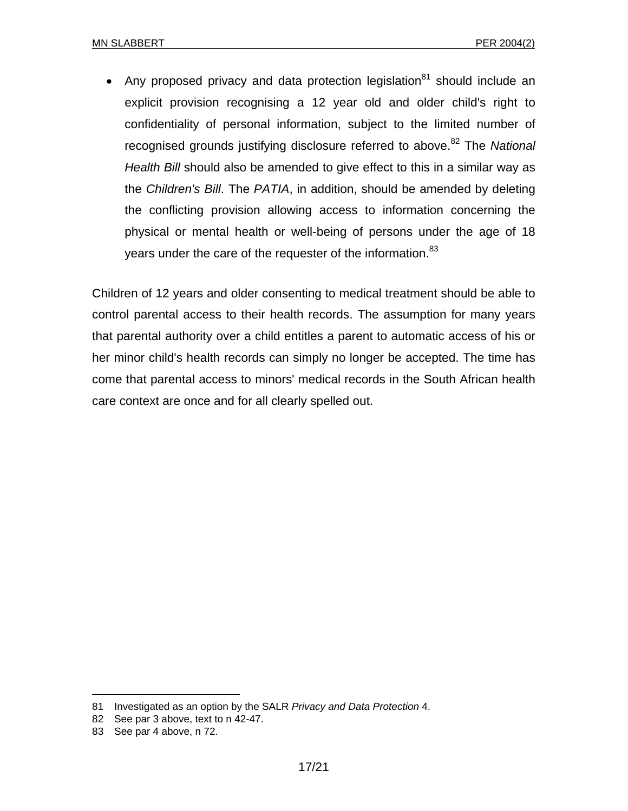• Any proposed privacy and data protection legislation<sup>81</sup> should include an explicit provision recognising a 12 year old and older child's right to confidentiality of personal information, subject to the limited number of recognised grounds justifying disclosure referred to above.<sup>82</sup> The *National Health Bill* should also be amended to give effect to this in a similar way as the *Children's Bill*. The *PATIA*, in addition, should be amended by deleting the conflicting provision allowing access to information concerning the physical or mental health or well-being of persons under the age of 18 years under the care of the requester of the information.<sup>83</sup>

Children of 12 years and older consenting to medical treatment should be able to control parental access to their health records. The assumption for many years that parental authority over a child entitles a parent to automatic access of his or her minor child's health records can simply no longer be accepted. The time has come that parental access to minors' medical records in the South African health care context are once and for all clearly spelled out.

<sup>81</sup> Investigated as an option by the SALR *Privacy and Data Protection* 4.

<sup>82</sup> See par 3 above, text to n 42-47.

<sup>83</sup> See par 4 above, n 72.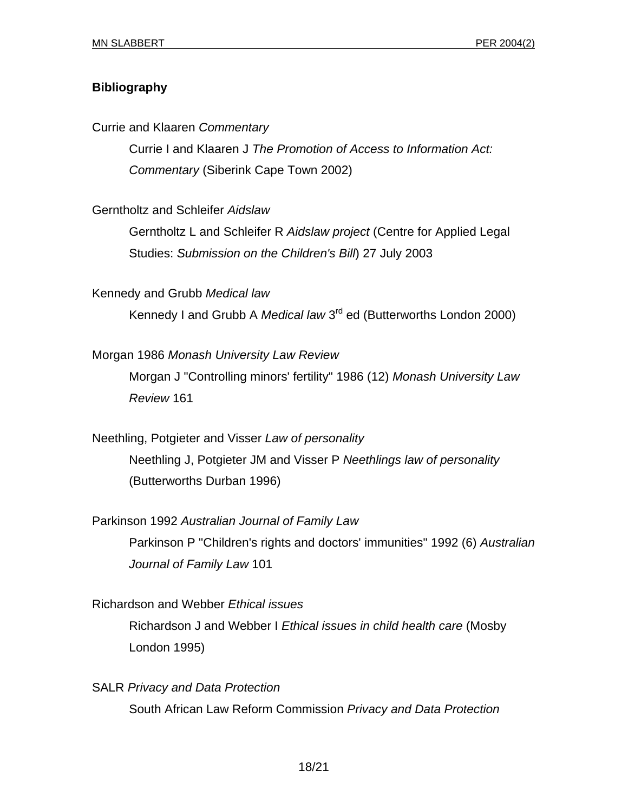# **Bibliography**

Currie and Klaaren *Commentary* 

Currie I and Klaaren J *The Promotion of Access to Information Act: Commentary* (Siberink Cape Town 2002)

Gerntholtz and Schleifer *Aidslaw*

Gerntholtz L and Schleifer R *Aidslaw project* (Centre for Applied Legal Studies: *Submission on the Children's Bill*) 27 July 2003

Kennedy and Grubb *Medical law* 

Kennedy I and Grubb A *Medical law* 3<sup>rd</sup> ed (Butterworths London 2000)

# Morgan 1986 *Monash University Law Review*

Morgan J "Controlling minors' fertility" 1986 (12) *Monash University Law Review* 161

Neethling, Potgieter and Visser *Law of personality*  Neethling J, Potgieter JM and Visser P *Neethlings law of personality* (Butterworths Durban 1996)

Parkinson 1992 *Australian Journal of Family Law*

Parkinson P "Children's rights and doctors' immunities" 1992 (6) *Australian Journal of Family Law* 101

Richardson and Webber *Ethical issues* 

Richardson J and Webber I *Ethical issues in child health care* (Mosby London 1995)

SALR *Privacy and Data Protection*  South African Law Reform Commission *Privacy and Data Protection*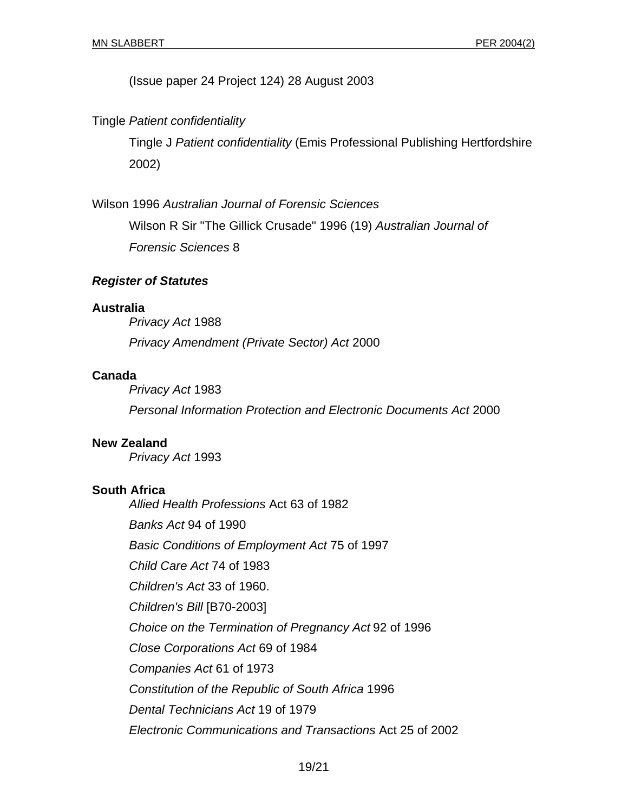(Issue paper 24 Project 124) 28 August 2003

Tingle *Patient confidentiality* 

Tingle J *Patient confidentiality* (Emis Professional Publishing Hertfordshire 2002)

Wilson 1996 *Australian Journal of Forensic Sciences*

Wilson R Sir "The Gillick Crusade" 1996 (19) *Australian Journal of* 

*Forensic Sciences* 8

#### *Register of Statutes*

#### **Australia**

*Privacy Act* 1988

*Privacy Amendment (Private Sector) Act* 2000

#### **Canada**

*Privacy Act* 1983

*Personal Information Protection and Electronic Documents Act* 2000

#### **New Zealand**

*Privacy Act* 1993

#### **South Africa**

*Allied Health Professions* Act 63 of 1982 *Banks Act* 94 of 1990 *Basic Conditions of Employment Act* 75 of 1997 *Child Care Act* 74 of 1983 *Children's Act* 33 of 1960. *Children's Bill* [B70-2003] *Choice on the Termination of Pregnancy Act* 92 of 1996 *Close Corporations Act* 69 of 1984 *Companies Act* 61 of 1973 *Constitution of the Republic of South Africa* 1996 *Dental Technicians Act* 19 of 1979 *Electronic Communications and Transactions* Act 25 of 2002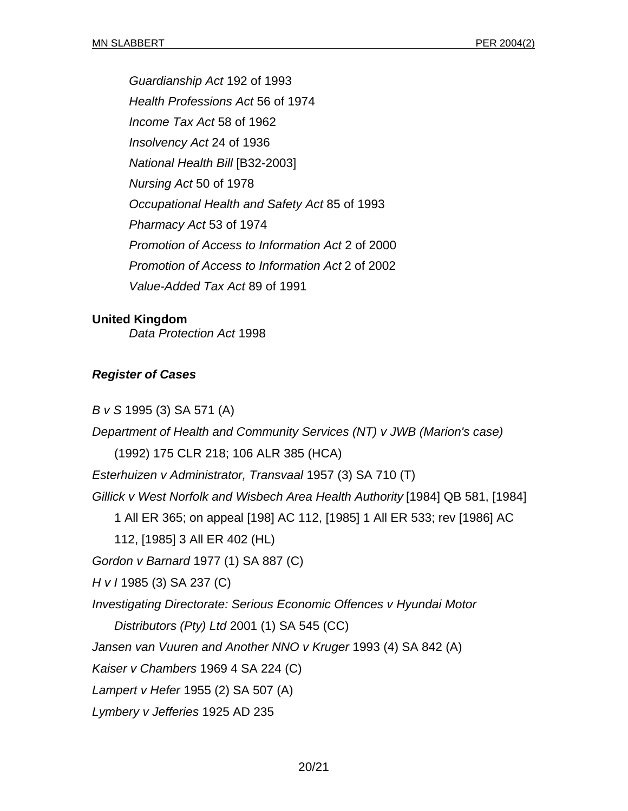*Guardianship Act* 192 of 1993 *Health Professions Act* 56 of 1974 *Income Tax Act* 58 of 1962 *Insolvency Act* 24 of 1936 *National Health Bill* [B32-2003] *Nursing Act* 50 of 1978 *Occupational Health and Safety Act* 85 of 1993 *Pharmacy Act* 53 of 1974 *Promotion of Access to Information Act* 2 of 2000 *Promotion of Access to Information Act* 2 of 2002 *Value-Added Tax Act* 89 of 1991

#### **United Kingdom**

*Data Protection Act* 1998

#### *Register of Cases*

*B v S* 1995 (3) SA 571 (A) *Department of Health and Community Services (NT) v JWB (Marion's case)* (1992) 175 CLR 218; 106 ALR 385 (HCA) *Esterhuizen v Administrator, Transvaal* 1957 (3) SA 710 (T) *Gillick v West Norfolk and Wisbech Area Health Authority* [1984] QB 581, [1984] 1 All ER 365; on appeal [198] AC 112, [1985] 1 All ER 533; rev [1986] AC 112, [1985] 3 All ER 402 (HL) *Gordon v Barnard* 1977 (1) SA 887 (C) *H v I* 1985 (3) SA 237 (C) *Investigating Directorate: Serious Economic Offences v Hyundai Motor Distributors (Pty) Ltd* 2001 (1) SA 545 (CC) *Jansen van Vuuren and Another NNO v Kruger* 1993 (4) SA 842 (A) *Kaiser v Chambers* 1969 4 SA 224 (C) *Lampert v Hefer* 1955 (2) SA 507 (A) *Lymbery v Jefferies* 1925 AD 235